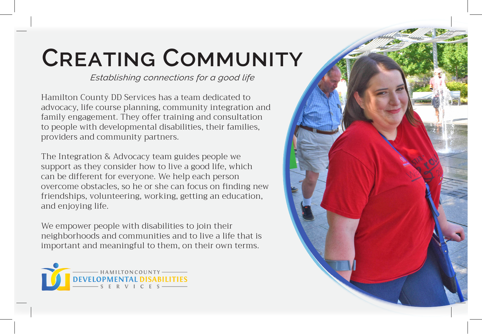## **Creating Community**

*Establishing connections for a good life*

Hamilton County DD Services has a team dedicated to advocacy, life course planning, community integration and family engagement. They offer training and consultation to people with developmental disabilities, their families, providers and community partners.

The Integration & Advocacy team guides people we support as they consider how to live a good life, which can be different for everyone. We help each person overcome obstacles, so he or she can focus on finding new friendships, volunteering, working, getting an education, and enjoying life.

We empower people with disabilities to join their neighborhoods and communities and to live a life that is important and meaningful to them, on their own terms.